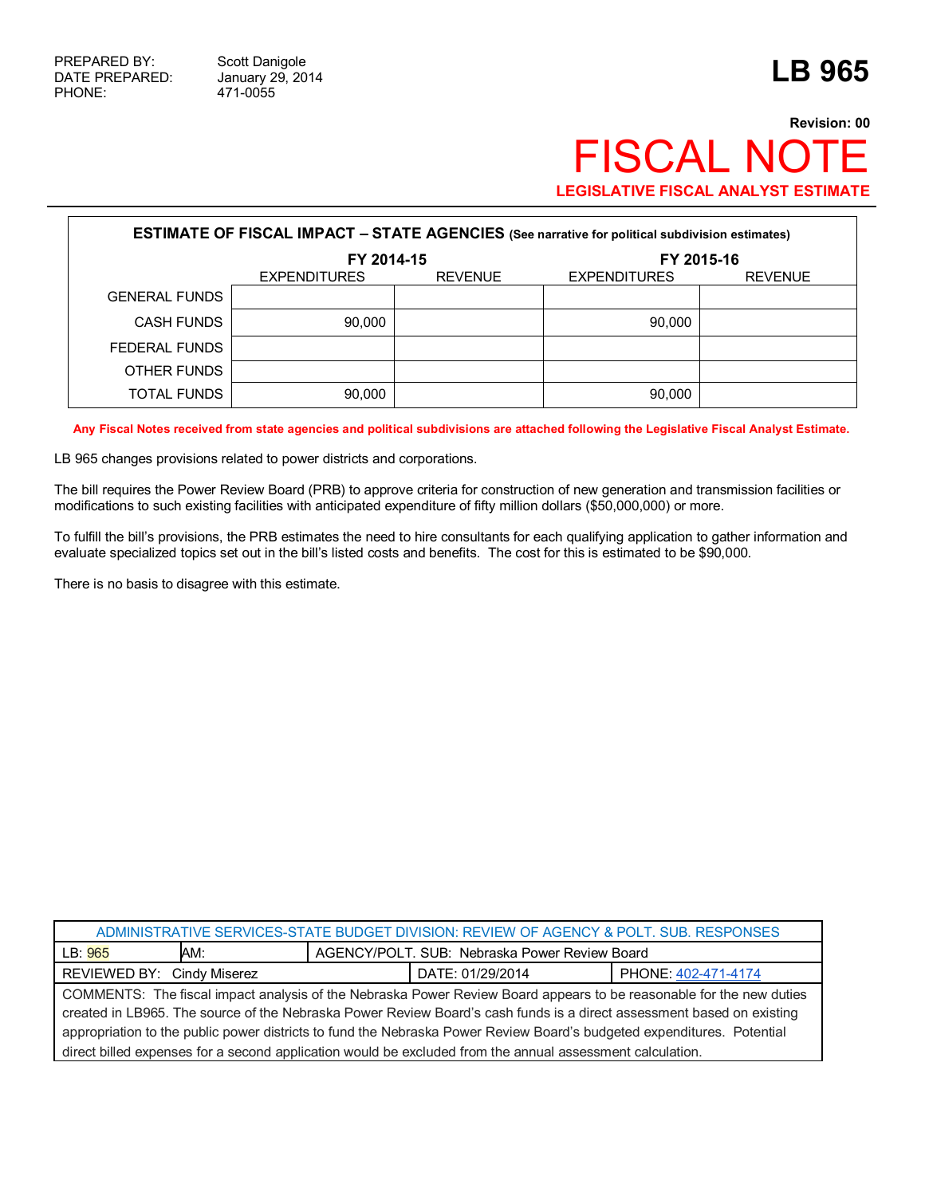## **Revision: 00** FISCAL NOTE **LEGISLATIVE FISCAL ANALYST ESTIMATE**

| <b>ESTIMATE OF FISCAL IMPACT - STATE AGENCIES (See narrative for political subdivision estimates)</b> |                     |                |                     |                |  |  |
|-------------------------------------------------------------------------------------------------------|---------------------|----------------|---------------------|----------------|--|--|
|                                                                                                       | FY 2014-15          |                | FY 2015-16          |                |  |  |
|                                                                                                       | <b>EXPENDITURES</b> | <b>REVENUE</b> | <b>EXPENDITURES</b> | <b>REVENUE</b> |  |  |
| <b>GENERAL FUNDS</b>                                                                                  |                     |                |                     |                |  |  |
| <b>CASH FUNDS</b>                                                                                     | 90.000              |                | 90.000              |                |  |  |
| FEDERAL FUNDS                                                                                         |                     |                |                     |                |  |  |
| OTHER FUNDS                                                                                           |                     |                |                     |                |  |  |
| TOTAL FUNDS                                                                                           | 90,000              |                | 90,000              |                |  |  |

**Any Fiscal Notes received from state agencies and political subdivisions are attached following the Legislative Fiscal Analyst Estimate.**

LB 965 changes provisions related to power districts and corporations.

The bill requires the Power Review Board (PRB) to approve criteria for construction of new generation and transmission facilities or modifications to such existing facilities with anticipated expenditure of fifty million dollars (\$50,000,000) or more.

To fulfill the bill's provisions, the PRB estimates the need to hire consultants for each qualifying application to gather information and evaluate specialized topics set out in the bill's listed costs and benefits. The cost for this is estimated to be \$90,000.

There is no basis to disagree with this estimate.

| ADMINISTRATIVE SERVICES-STATE BUDGET DIVISION: REVIEW OF AGENCY & POLT. SUB. RESPONSES                                 |                                               |  |  |  |
|------------------------------------------------------------------------------------------------------------------------|-----------------------------------------------|--|--|--|
| LB: 965<br>AM:                                                                                                         | AGENCY/POLT, SUB: Nebraska Power Review Board |  |  |  |
| REVIEWED BY: Cindy Miserez<br>PHONE: 402-471-4174<br>DATE: 01/29/2014                                                  |                                               |  |  |  |
| COMMENTS: The fiscal impact analysis of the Nebraska Power Review Board appears to be reasonable for the new duties    |                                               |  |  |  |
| created in LB965. The source of the Nebraska Power Review Board's cash funds is a direct assessment based on existing  |                                               |  |  |  |
| appropriation to the public power districts to fund the Nebraska Power Review Board's budgeted expenditures. Potential |                                               |  |  |  |
| direct billed expenses for a second application would be excluded from the annual assessment calculation.              |                                               |  |  |  |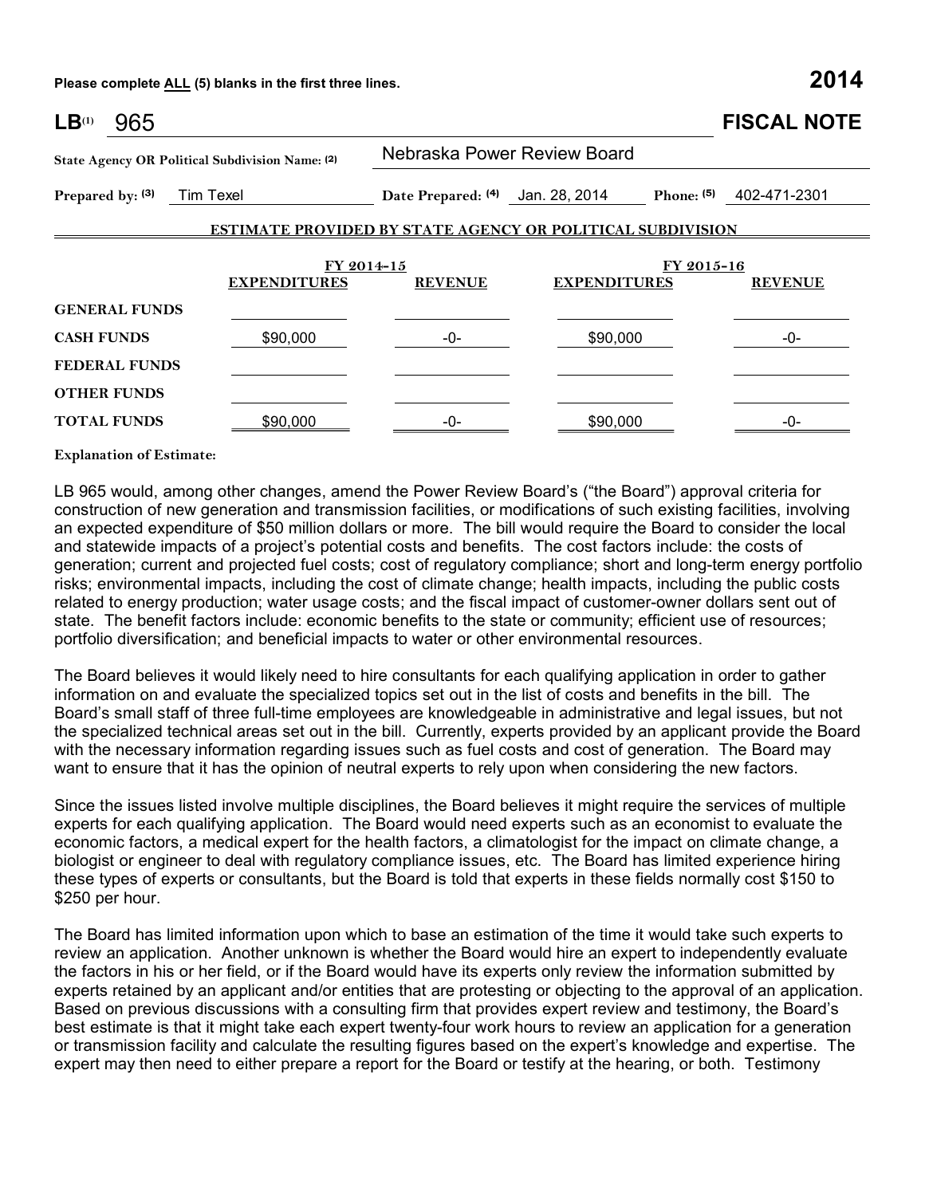**Please complete ALL (5) blanks in the first three lines. 2014**

| $LB^{(1)}$<br>965                                                                |          |                                                  |                                                                   | <b>FISCAL NOTE</b>           |  |
|----------------------------------------------------------------------------------|----------|--------------------------------------------------|-------------------------------------------------------------------|------------------------------|--|
| State Agency OR Political Subdivision Name: (2)<br>Tim Texel<br>Prepared by: (3) |          | Nebraska Power Review Board                      |                                                                   |                              |  |
|                                                                                  |          | Date Prepared: (4) Jan. 28, 2014<br>Phone: $(5)$ |                                                                   | 402-471-2301                 |  |
|                                                                                  |          |                                                  | <b>ESTIMATE PROVIDED BY STATE AGENCY OR POLITICAL SUBDIVISION</b> |                              |  |
| FY 2014-15<br><b>EXPENDITURES</b>                                                |          | <b>REVENUE</b>                                   | <b>EXPENDITURES</b>                                               | FY 2015-16<br><b>REVENUE</b> |  |
| <b>GENERAL FUNDS</b>                                                             |          |                                                  |                                                                   |                              |  |
| <b>CASH FUNDS</b>                                                                | \$90,000 | -0-                                              | \$90,000                                                          | -0-                          |  |
| <b>FEDERAL FUNDS</b>                                                             |          |                                                  |                                                                   |                              |  |
| <b>OTHER FUNDS</b>                                                               |          |                                                  |                                                                   |                              |  |
| <b>TOTAL FUNDS</b>                                                               | \$90,000 | -0-                                              | \$90,000                                                          | -0-                          |  |

**Explanation of Estimate:**

LB 965 would, among other changes, amend the Power Review Board's ("the Board") approval criteria for construction of new generation and transmission facilities, or modifications of such existing facilities, involving an expected expenditure of \$50 million dollars or more. The bill would require the Board to consider the local and statewide impacts of a project's potential costs and benefits. The cost factors include: the costs of generation; current and projected fuel costs; cost of regulatory compliance; short and long-term energy portfolio risks; environmental impacts, including the cost of climate change; health impacts, including the public costs related to energy production; water usage costs; and the fiscal impact of customer-owner dollars sent out of state. The benefit factors include: economic benefits to the state or community; efficient use of resources; portfolio diversification; and beneficial impacts to water or other environmental resources.

The Board believes it would likely need to hire consultants for each qualifying application in order to gather information on and evaluate the specialized topics set out in the list of costs and benefits in the bill. The Board's small staff of three full-time employees are knowledgeable in administrative and legal issues, but not the specialized technical areas set out in the bill. Currently, experts provided by an applicant provide the Board with the necessary information regarding issues such as fuel costs and cost of generation. The Board may want to ensure that it has the opinion of neutral experts to rely upon when considering the new factors.

Since the issues listed involve multiple disciplines, the Board believes it might require the services of multiple experts for each qualifying application. The Board would need experts such as an economist to evaluate the economic factors, a medical expert for the health factors, a climatologist for the impact on climate change, a biologist or engineer to deal with regulatory compliance issues, etc. The Board has limited experience hiring these types of experts or consultants, but the Board is told that experts in these fields normally cost \$150 to \$250 per hour.

The Board has limited information upon which to base an estimation of the time it would take such experts to review an application. Another unknown is whether the Board would hire an expert to independently evaluate the factors in his or her field, or if the Board would have its experts only review the information submitted by experts retained by an applicant and/or entities that are protesting or objecting to the approval of an application. Based on previous discussions with a consulting firm that provides expert review and testimony, the Board's best estimate is that it might take each expert twenty-four work hours to review an application for a generation or transmission facility and calculate the resulting figures based on the expert's knowledge and expertise. The expert may then need to either prepare a report for the Board or testify at the hearing, or both. Testimony